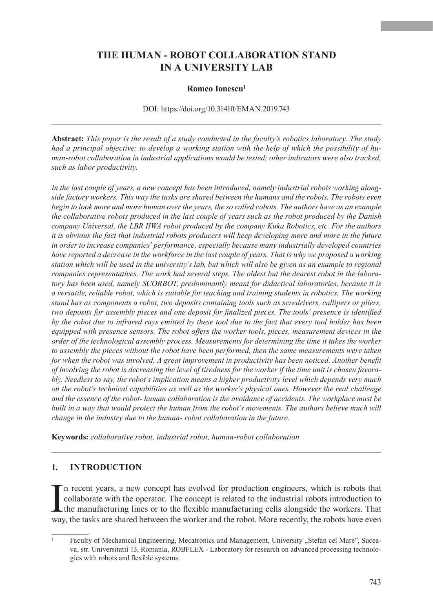# **THE HUMAN - ROBOT COLLABORATION STAND IN A UNIVERSITY LAB**

#### **Romeo Ionescu<sup>1</sup>**

#### DOI: https://doi.org/10.31410/EMAN.2019.743

**Abstract:** *This paper is the result of a study conducted in the faculty's robotics laboratory. The study had a principal objective: to develop a working station with the help of which the possibility of human-robot collaboration in industrial applications would be tested; other indicators were also tracked, such as labor productivity.*

*In the last couple of years, a new concept has been introduced, namely industrial robots working alongside factory workers. This way the tasks are shared between the humans and the robots. The robots even begin to look more and more human over the years, the so called cobots. The authors have as an example the collaborative robots produced in the last couple of years such as the robot produced by the Danish company Universal, the LBR IIWA robot produced by the company Kuka Robotics, etc. For the authors it is obvious the fact that industrial robots producers will keep developing more and more in the future in order to increase companies' performance, especially because many industrially developed countries have reported a decrease in the workforce in the last couple of years. That is why we proposed a working station which will be used in the university's lab, but which will also be given as an example to regional companies representatives. The work had several steps. The oldest but the dearest robot in the laboratory has been used, namely SCORBOT, predominantly meant for didactical laboratories, because it is a versatile, reliable robot, which is suitable for teaching and training students in robotics. The working stand has as components a robot, two deposits containing tools such as scredrivers, callipers or pliers, two deposits for assembly pieces and one deposit for finalized pieces. The tools' presence is identified by the robot due to infrared rays emitted by these tool due to the fact that every tool holder has been equipped with presence sensors. The robot offers the worker tools, pieces, measurement devices in the order of the technological assembly process. Measurements for determining the time it takes the worker to assembly the pieces without the robot have been performed, then the same measurements were taken for when the robot was involved. A great improvement in productivity has been noticed. Another benefit of involving the robot is decreasing the level of tiredness for the worker if the time unit is chosen favorably. Needless to say, the robot's implication means a higher productivity level which depends very much on the robot's technical capabilities as well as the worker's physical ones. However the real challenge and the essence of the robot- human collaboration is the avoidance of accidents. The workplace must be built in a way that would protect the human from the robot's movements. The authors believe much will change in the industry due to the human- robot collaboration in the future.*

**Keywords:** *collaborative robot, industrial robot, human-robot collaboration*

#### **1. Introduction**

In recent years, a new concept has evolved for production engineers, which is robots that collaborate with the operator. The concept is related to the industrial robots introduction to the manufacturing lines or to the fle n recent years, a new concept has evolved for production engineers, which is robots that collaborate with the operator. The concept is related to the industrial robots introduction to the manufacturing lines or to the flexible manufacturing cells alongside the workers. That

Faculty of Mechanical Engineering, Mecatronics and Management, University "Stefan cel Mare", Suceava, str. Universitatii 13, Romania, ROBFLEX - Laboratory for research on advanced processing technologies with robots and flexible systems.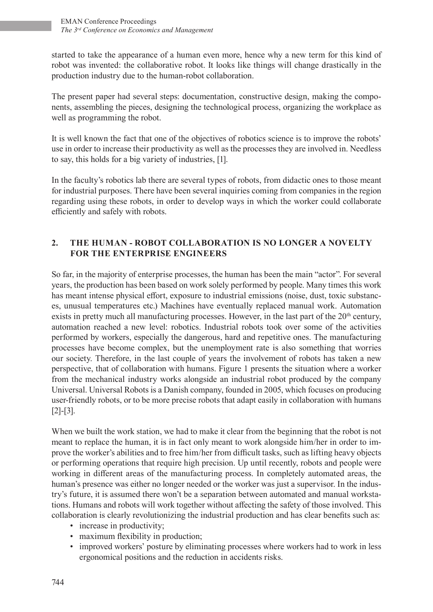started to take the appearance of a human even more, hence why a new term for this kind of robot was invented: the collaborative robot. It looks like things will change drastically in the production industry due to the human-robot collaboration.

The present paper had several steps: documentation, constructive design, making the components, assembling the pieces, designing the technological process, organizing the workplace as well as programming the robot.

It is well known the fact that one of the objectives of robotics science is to improve the robots' use in order to increase their productivity as well as the processes they are involved in. Needless to say, this holds for a big variety of industries, [1].

In the faculty's robotics lab there are several types of robots, from didactic ones to those meant for industrial purposes. There have been several inquiries coming from companies in the region regarding using these robots, in order to develop ways in which the worker could collaborate efficiently and safely with robots.

## **2. The human - robot collaboration is no longer a novelty for the enterprise engineers**

So far, in the majority of enterprise processes, the human has been the main "actor". For several years, the production has been based on work solely performed by people. Many times this work has meant intense physical effort, exposure to industrial emissions (noise, dust, toxic substances, unusual temperatures etc.) Machines have eventually replaced manual work. Automation exists in pretty much all manufacturing processes. However, in the last part of the  $20<sup>th</sup>$  century, automation reached a new level: robotics. Industrial robots took over some of the activities performed by workers, especially the dangerous, hard and repetitive ones. The manufacturing processes have become complex, but the unemployment rate is also something that worries our society. Therefore, in the last couple of years the involvement of robots has taken a new perspective, that of collaboration with humans. Figure 1 presents the situation where a worker from the mechanical industry works alongside an industrial robot produced by the company Universal. Universal Robots is a Danish company, founded in 2005, which focuses on producing user-friendly robots, or to be more precise robots that adapt easily in collaboration with humans [2]-[3].

When we built the work station, we had to make it clear from the beginning that the robot is not meant to replace the human, it is in fact only meant to work alongside him/her in order to improve the worker's abilities and to free him/her from difficult tasks, such as lifting heavy objects or performing operations that require high precision. Up until recently, robots and people were working in different areas of the manufacturing process. In completely automated areas, the human's presence was either no longer needed or the worker was just a supervisor. In the industry's future, it is assumed there won't be a separation between automated and manual workstations. Humans and robots will work together without affecting the safety of those involved. This collaboration is clearly revolutionizing the industrial production and has clear benefits such as:

- increase in productivity;
- maximum flexibility in production;
- improved workers' posture by eliminating processes where workers had to work in less ergonomical positions and the reduction in accidents risks.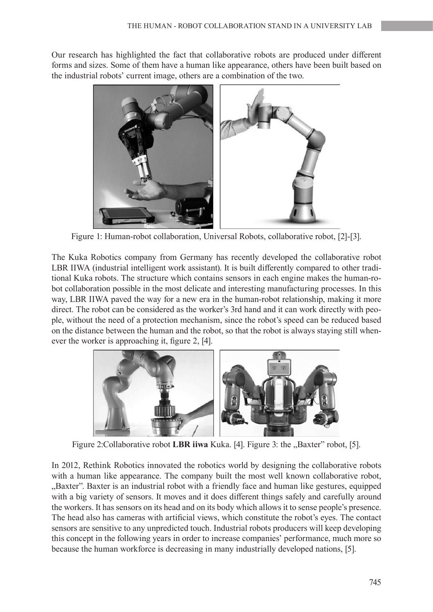Our research has highlighted the fact that collaborative robots are produced under different forms and sizes. Some of them have a human like appearance, others have been built based on the industrial robots' current image, others are a combination of the two.



Figure 1: Human-robot collaboration, Universal Robots, collaborative robot, [2]-[3].

The Kuka Robotics company from Germany has recently developed the collaborative robot LBR IIWA (industrial intelligent work assistant). It is built differently compared to other traditional Kuka robots. The structure which contains sensors in each engine makes the human-robot collaboration possible in the most delicate and interesting manufacturing processes. In this way, LBR IIWA paved the way for a new era in the human-robot relationship, making it more direct. The robot can be considered as the worker's 3rd hand and it can work directly with people, without the need of a protection mechanism, since the robot's speed can be reduced based on the distance between the human and the robot, so that the robot is always staying still whenever the worker is approaching it, figure 2, [4].



Figure 2: Collaborative robot **LBR iiwa** Kuka. [4]. Figure 3: the "Baxter" robot, [5].

In 2012, Rethink Robotics innovated the robotics world by designing the collaborative robots with a human like appearance. The company built the most well known collaborative robot, "Baxter". Baxter is an industrial robot with a friendly face and human like gestures, equipped with a big variety of sensors. It moves and it does different things safely and carefully around the workers. It has sensors on its head and on its body which allows it to sense people's presence. The head also has cameras with artificial views, which constitute the robot's eyes. The contact sensors are sensitive to any unpredicted touch. Industrial robots producers will keep developing this concept in the following years in order to increase companies' performance, much more so because the human workforce is decreasing in many industrially developed nations, [5].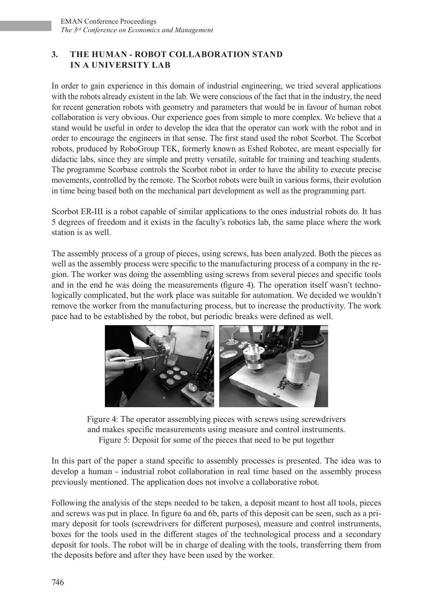# **3. THE HUMAN - ROBOT COLLABORATION STAND IN A UNIVERSITY LAB**

In order to gain experience in this domain of industrial engineering, we tried several applications with the robots already existent in the lab. We were conscious of the fact that in the industry, the need for recent generation robots with geometry and parameters that would be in favour of human robot collaboration is very obvious. Our experience goes from simple to more complex. We believe that a stand would be useful in order to develop the idea that the operator can work with the robot and in order to encourage the engineers in that sense. The first stand used the robot Scorbot. The Scorbot robots, produced by RoboGroup TEK, formerly known as Eshed Robotec, are meant especially for didactic labs, since they are simple and pretty versatile, suitable for training and teaching students. The programme Scorbase controls the Scorbot robot in order to have the ability to execute precise movements, controlled by the remote. The Scorbot robots were built in various forms, their evolution in time being based both on the mechanical part development as well as the programming part.

Scorbot ER-III is a robot capable of similar applications to the ones industrial robots do. It has 5 degrees of freedom and it exists in the faculty's robotics lab, the same place where the work station is as well.

The assembly process of a group of pieces, using screws, has been analyzed. Both the pieces as well as the assembly process were specific to the manufacturing process of a company in the region. The worker was doing the assembling using screws from several pieces and specific tools and in the end he was doing the measurements (figure 4). The operation itself wasn't technologically complicated, but the work place was suitable for automation. We decided we wouldn't remove the worker from the manufacturing process, but to increase the productivity. The work pace had to be established by the robot, but periodic breaks were defined as well.



Figure 4: The operator assemblying pieces with screws using screwdrivers and makes specific measurements using measure and control instruments. Figure 5: Deposit for some of the pieces that need to be put together

In this part of the paper a stand specific to assembly processes is presented. The idea was to develop a human - industrial robot collaboration in real time based on the assembly process previously mentioned. The application does not involve a collaborative robot.

Following the analysis of the steps needed to be taken, a deposit meant to host all tools, pieces and screws was put in place. In figure 6a and 6b, parts of this deposit can be seen, such as a primary deposit for tools (screwdrivers for different purposes), measure and control instruments, boxes for the tools used in the different stages of the technological process and a secondary deposit for tools. The robot will be in charge of dealing with the tools, transferring them from the deposits before and after they have been used by the worker.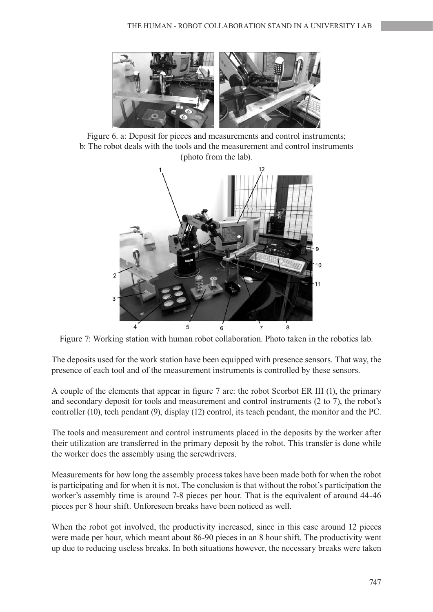

Figure 6. a: Deposit for pieces and measurements and control instruments; b: The robot deals with the tools and the measurement and control instruments (photo from the lab).



Figure 7: Working station with human robot collaboration. Photo taken in the robotics lab.

The deposits used for the work station have been equipped with presence sensors. That way, the presence of each tool and of the measurement instruments is controlled by these sensors.

A couple of the elements that appear in figure 7 are: the robot Scorbot ER III (1), the primary and secondary deposit for tools and measurement and control instruments (2 to 7), the robot's controller (10), tech pendant (9), display (12) control, its teach pendant, the monitor and the PC.

The tools and measurement and control instruments placed in the deposits by the worker after their utilization are transferred in the primary deposit by the robot. This transfer is done while the worker does the assembly using the screwdrivers.

Measurements for how long the assembly process takes have been made both for when the robot is participating and for when it is not. The conclusion is that without the robot's participation the worker's assembly time is around 7-8 pieces per hour. That is the equivalent of around 44-46 pieces per 8 hour shift. Unforeseen breaks have been noticed as well.

When the robot got involved, the productivity increased, since in this case around 12 pieces were made per hour, which meant about 86-90 pieces in an 8 hour shift. The productivity went up due to reducing useless breaks. In both situations however, the necessary breaks were taken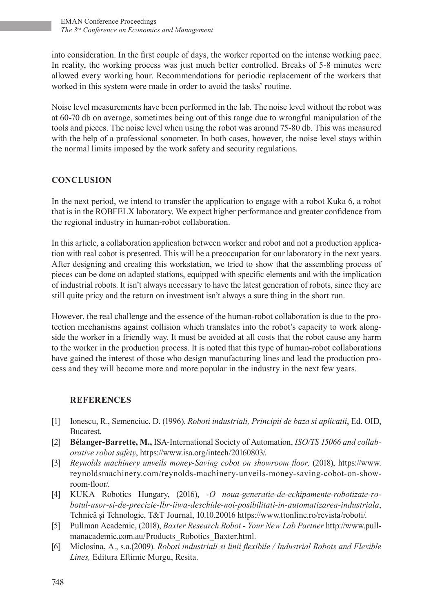into consideration. In the first couple of days, the worker reported on the intense working pace. In reality, the working process was just much better controlled. Breaks of 5-8 minutes were allowed every working hour. Recommendations for periodic replacement of the workers that worked in this system were made in order to avoid the tasks' routine.

Noise level measurements have been performed in the lab. The noise level without the robot was at 60-70 db on average, sometimes being out of this range due to wrongful manipulation of the tools and pieces. The noise level when using the robot was around 75-80 db. This was measured with the help of a professional sonometer. In both cases, however, the noise level stays within the normal limits imposed by the work safety and security regulations.

### **CONCLUSION**

In the next period, we intend to transfer the application to engage with a robot Kuka 6, a robot that is in the ROBFELX laboratory. We expect higher performance and greater confidence from the regional industry in human-robot collaboration.

In this article, a collaboration application between worker and robot and not a production application with real cobot is presented. This will be a preoccupation for our laboratory in the next years. After designing and creating this workstation, we tried to show that the assembling process of pieces can be done on adapted stations, equipped with specific elements and with the implication of industrial robots. It isn't always necessary to have the latest generation of robots, since they are still quite pricy and the return on investment isn't always a sure thing in the short run.

However, the real challenge and the essence of the human-robot collaboration is due to the protection mechanisms against collision which translates into the robot's capacity to work alongside the worker in a friendly way. It must be avoided at all costs that the robot cause any harm to the worker in the production process. It is noted that this type of human-robot collaborations have gained the interest of those who design manufacturing lines and lead the production process and they will become more and more popular in the industry in the next few years.

#### **REFERENCES**

- [1] Ionescu, R., Semenciuc, D. (1996). *Roboti industriali, Principii de baza si aplicatii*, Ed. OID, Bucarest.
- [2] **Bélanger-Barrette, M.,** ISA-International Society of Automation, *ISO/TS 15066 and collaborative robot safety*, https://www.isa.org/intech/20160803/.
- [3] *Reynolds machinery unveils money-Saving cobot on showroom floor,* (2018), https://www. reynoldsmachinery.com/reynolds-machinery-unveils-money-saving-cobot-on-showroom-floor/.
- [4] KUKA Robotics Hungary, (2016), *-O noua-generatie-de-echipamente-robotizate-robotul-usor-si-de-precizie-lbr-iiwa-deschide-noi-posibilitati-in-automatizarea-industriala*, Tehnică și Tehnologie, T&T Journal, 10.10.20016 https://www.ttonline.ro/revista/roboti/.
- [5] Pullman Academic, (2018), *Baxter Research Robot Your New Lab Partner* http://www.pullmanacademic.com.au/Products\_Robotics\_Baxter.html.
- [6] Miclosina, A., s.a.(2009). *Roboti industriali si linii flexibile / Industrial Robots and Flexible Lines,* Editura Eftimie Murgu, Resita.